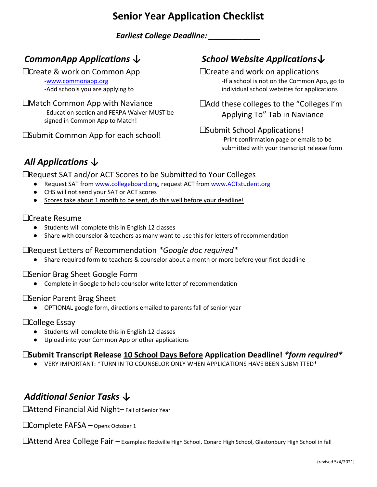# **Senior Year Application Checklist**

*Earliest College Deadline: \_\_\_\_\_\_\_\_\_\_\_\_*

### *CommonApp Applications ↓*

☐Create & work on Common App

[-www.commonapp.org](http://www.commonapp.org/) -Add schools you are applying to

#### ☐Match Common App with Naviance -Education section and FERPA Waiver MUST be signed in Common App to Match!

**□Submit Common App for each school!** 

# *School Website Applications↓*

☐Create and work on applications -If a school is not on the Common App, go to individual school websites for applications

☐Add these colleges to the "Colleges I'm Applying To" Tab in Naviance

#### **□Submit School Applications!**

-Print confirmation page or emails to be submitted with your transcript release form

# *All Applications ↓*

☐Request SAT and/or ACT Scores to be Submitted to Your Colleges

- Request SAT fro[m www.collegeboard.org,](http://www.collegeboard.org/) request ACT from [www.ACTstudent.org](http://www.actstudent.org/)
- CHS will not send your SAT or ACT scores
- Scores take about 1 month to be sent, do this well before your deadline!

### ☐Create Resume

- Students will complete this in English 12 classes
- Share with counselor & teachers as many want to use this for letters of recommendation

#### ☐Request Letters of Recommendation *\*Google doc required\**

● Share required form to teachers & counselor about a month or more before your first deadline

#### ☐Senior Brag Sheet Google Form

● Complete in Google to help counselor write letter of recommendation

#### ☐Senior Parent Brag Sheet

● OPTIONAL google form, directions emailed to parents fall of senior year

### ☐College Essay

- Students will complete this in English 12 classes
- Upload into your Common App or other applications

### ☐**Submit Transcript Release 10 School Days Before Application Deadline!** *\*form required\**

● VERY IMPORTANT: \*TURN IN TO COUNSELOR ONLY WHEN APPLICATIONS HAVE BEEN SUBMITTED\*

### *Additional Senior Tasks ↓*

□Attend Financial Aid Night– Fall of Senior Year

☐Complete FAFSA – Opens October 1

☐Attend Area College Fair – Examples: Rockville High School, Conard High School, Glastonbury High School in fall